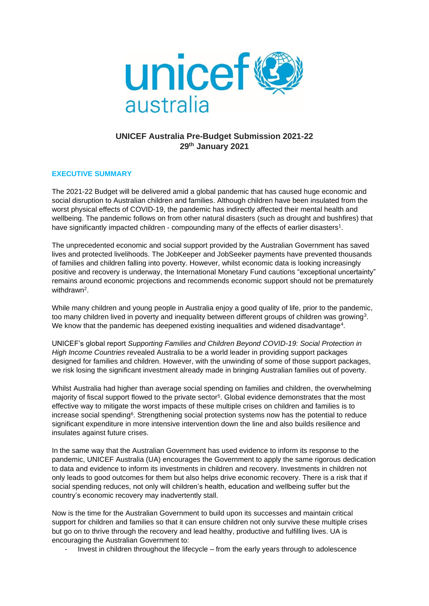

# **UNICEF Australia Pre-Budget Submission 2021-22 29th January 2021**

# **EXECUTIVE SUMMARY**

The 2021-22 Budget will be delivered amid a global pandemic that has caused huge economic and social disruption to Australian children and families. Although children have been insulated from the worst physical effects of COVID-19, the pandemic has indirectly affected their mental health and wellbeing. The pandemic follows on from other natural disasters (such as drought and bushfires) that have significantly impacted children - compounding many of the effects of earlier disasters<sup>1</sup>.

The unprecedented economic and social support provided by the Australian Government has saved lives and protected livelihoods. The JobKeeper and JobSeeker payments have prevented thousands of families and children falling into poverty. However, whilst economic data is looking increasingly positive and recovery is underway, the International Monetary Fund cautions "exceptional uncertainty" remains around economic projections and recommends economic support should not be prematurely withdrawn<sup>2</sup>.

While many children and young people in Australia enjoy a good quality of life, prior to the pandemic, too many children lived in poverty and inequality between different groups of children was growing<sup>3</sup>. We know that the pandemic has deepened existing inequalities and widened disadvantage<sup>4</sup>.

UNICEF's global report *Supporting Families and Children Beyond COVID-19: Social Protection in High Income Countries* revealed Australia to be a world leader in providing support packages designed for families and children. However, with the unwinding of some of those support packages, we risk losing the significant investment already made in bringing Australian families out of poverty.

Whilst Australia had higher than average social spending on families and children, the overwhelming majority of fiscal support flowed to the private sector<sup>5</sup>. Global evidence demonstrates that the most effective way to mitigate the worst impacts of these multiple crises on children and families is to increase social spending<sup>6</sup>. Strengthening social protection systems now has the potential to reduce significant expenditure in more intensive intervention down the line and also builds resilience and insulates against future crises.

In the same way that the Australian Government has used evidence to inform its response to the pandemic, UNICEF Australia (UA) encourages the Government to apply the same rigorous dedication to data and evidence to inform its investments in children and recovery. Investments in children not only leads to good outcomes for them but also helps drive economic recovery. There is a risk that if social spending reduces, not only will children's health, education and wellbeing suffer but the country's economic recovery may inadvertently stall.

Now is the time for the Australian Government to build upon its successes and maintain critical support for children and families so that it can ensure children not only survive these multiple crises but go on to thrive through the recovery and lead healthy, productive and fulfilling lives. UA is encouraging the Australian Government to:

- Invest in children throughout the lifecycle – from the early years through to adolescence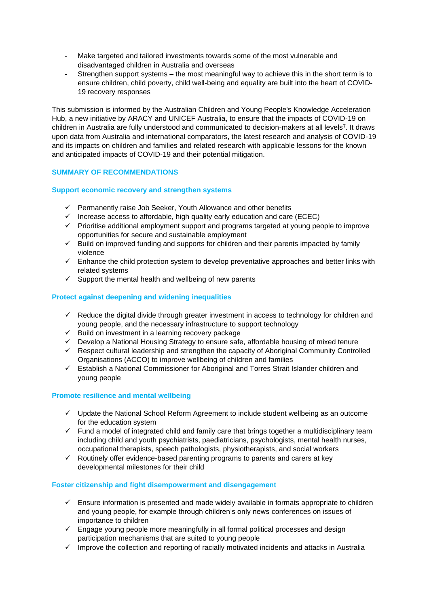- Make targeted and tailored investments towards some of the most vulnerable and disadvantaged children in Australia and overseas
- Strengthen support systems the most meaningful way to achieve this in the short term is to ensure children, child poverty, child well-being and equality are built into the heart of COVID-19 recovery responses

This submission is informed by the Australian Children and Young People's Knowledge Acceleration Hub, a new initiative by ARACY and UNICEF Australia, to ensure that the impacts of COVID-19 on children in Australia are fully understood and communicated to decision-makers at all levels<sup>7</sup> . It draws upon data from Australia and international comparators, the latest research and analysis of COVID-19 and its impacts on children and families and related research with applicable lessons for the known and anticipated impacts of COVID-19 and their potential mitigation.

# **SUMMARY OF RECOMMENDATIONS**

# **Support economic recovery and strengthen systems**

- ✓ Permanently raise Job Seeker, Youth Allowance and other benefits
- $\checkmark$  Increase access to affordable, high quality early education and care (ECEC)
- ✓ Prioritise additional employment support and programs targeted at young people to improve opportunities for secure and sustainable employment
- ✓ Build on improved funding and supports for children and their parents impacted by family violence
- ✓ Enhance the child protection system to develop preventative approaches and better links with related systems
- $\checkmark$  Support the mental health and wellbeing of new parents

# **Protect against deepening and widening inequalities**

- $\checkmark$  Reduce the digital divide through greater investment in access to technology for children and young people, and the necessary infrastructure to support technology
- ✓ Build on investment in a learning recovery package
- ✓ Develop a National Housing Strategy to ensure safe, affordable housing of mixed tenure
- ✓ Respect cultural leadership and strengthen the capacity of Aboriginal Community Controlled Organisations (ACCO) to improve wellbeing of children and families
- ✓ Establish a National Commissioner for Aboriginal and Torres Strait Islander children and young people

# **Promote resilience and mental wellbeing**

- ✓ Update the National School Reform Agreement to include student wellbeing as an outcome for the education system
- ✓ Fund a model of integrated child and family care that brings together a multidisciplinary team including child and youth psychiatrists, paediatricians, psychologists, mental health nurses, occupational therapists, speech pathologists, physiotherapists, and social workers
- $\checkmark$  Routinely offer evidence-based parenting programs to parents and carers at key developmental milestones for their child

### **Foster citizenship and fight disempowerment and disengagement**

- $\checkmark$  Ensure information is presented and made widely available in formats appropriate to children and young people, for example through children's only news conferences on issues of importance to children
- $\checkmark$  Engage young people more meaningfully in all formal political processes and design participation mechanisms that are suited to young people
- $\checkmark$  Improve the collection and reporting of racially motivated incidents and attacks in Australia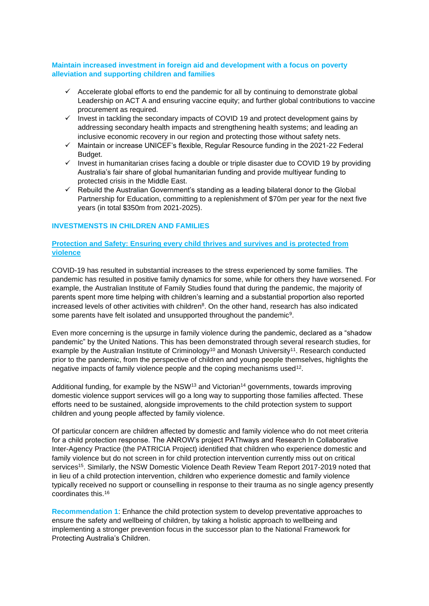# **Maintain increased investment in foreign aid and development with a focus on poverty alleviation and supporting children and families**

- $\checkmark$  Accelerate global efforts to end the pandemic for all by continuing to demonstrate global Leadership on ACT A and ensuring vaccine equity; and further global contributions to vaccine procurement as required.
- ✓ Invest in tackling the secondary impacts of COVID 19 and protect development gains by addressing secondary health impacts and strengthening health systems; and leading an inclusive economic recovery in our region and protecting those without safety nets.
- ✓ Maintain or increase UNICEF's flexible, Regular Resource funding in the 2021-22 Federal Budget.
- ✓ Invest in humanitarian crises facing a double or triple disaster due to COVID 19 by providing Australia's fair share of global humanitarian funding and provide multiyear funding to protected crisis in the Middle East.
- ✓ Rebuild the Australian Government's standing as a leading bilateral donor to the Global Partnership for Education, committing to a replenishment of \$70m per year for the next five years (in total \$350m from 2021-2025).

## **INVESTMENSTS IN CHILDREN AND FAMILIES**

# **Protection and Safety: Ensuring every child thrives and survives and is protected from violence**

COVID-19 has resulted in substantial increases to the stress experienced by some families. The pandemic has resulted in positive family dynamics for some, while for others they have worsened. For example, the Australian Institute of Family Studies found that during the pandemic, the majority of parents spent more time helping with children's learning and a substantial proportion also reported increased levels of other activities with children<sup>8</sup>. On the other hand, research has also indicated some parents have felt isolated and unsupported throughout the pandemic<sup>9</sup>.

Even more concerning is the upsurge in family violence during the pandemic, declared as a "shadow pandemic" by the United Nations. This has been demonstrated through several research studies, for example by the Australian Institute of Criminology<sup>10</sup> and Monash University<sup>11</sup>. Research conducted prior to the pandemic, from the perspective of children and young people themselves, highlights the negative impacts of family violence people and the coping mechanisms used<sup>12</sup>.

Additional funding, for example by the NSW<sup>13</sup> and Victorian<sup>14</sup> governments, towards improving domestic violence support services will go a long way to supporting those families affected. These efforts need to be sustained, alongside improvements to the child protection system to support children and young people affected by family violence.

Of particular concern are children affected by domestic and family violence who do not meet criteria for a child protection response. The ANROW's project PAThways and Research In Collaborative Inter-Agency Practice (the PATRICIA Project) identified that children who experience domestic and family violence but do not screen in for child protection intervention currently miss out on critical services<sup>15</sup>. Similarly, the NSW Domestic Violence Death Review Team Report 2017-2019 noted that in lieu of a child protection intervention, children who experience domestic and family violence typically received no support or counselling in response to their trauma as no single agency presently coordinates this.<sup>16</sup>

**Recommendation 1**: Enhance the child protection system to develop preventative approaches to ensure the safety and wellbeing of children, by taking a holistic approach to wellbeing and implementing a stronger prevention focus in the successor plan to the National Framework for Protecting Australia's Children.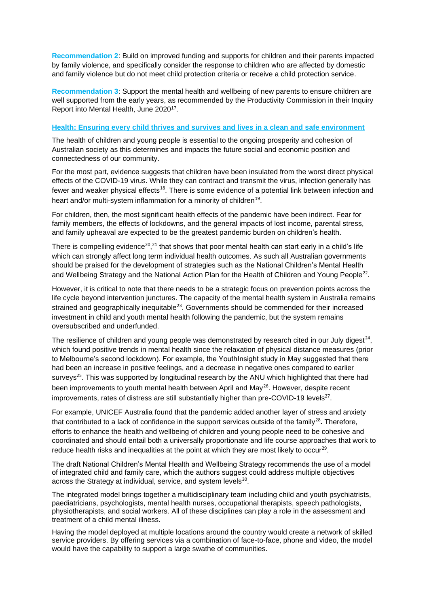**Recommendation 2**: Build on improved funding and supports for children and their parents impacted by family violence, and specifically consider the response to children who are affected by domestic and family violence but do not meet child protection criteria or receive a child protection service.

**Recommendation 3**: Support the mental health and wellbeing of new parents to ensure children are well supported from the early years, as recommended by the Productivity Commission in their Inquiry Report into Mental Health, June 2020<sup>17</sup>.

#### **Health: Ensuring every child thrives and survives and lives in a clean and safe environment**

The health of children and young people is essential to the ongoing prosperity and cohesion of Australian society as this determines and impacts the future social and economic position and connectedness of our community.

For the most part, evidence suggests that children have been insulated from the worst direct physical effects of the COVID-19 virus. While they can contract and transmit the virus, infection generally has fewer and weaker physical effects<sup>18</sup>. There is some evidence of a potential link between infection and heart and/or multi-system inflammation for a minority of children<sup>19</sup>.

For children, then, the most significant health effects of the pandemic have been indirect. Fear for family members, the effects of lockdowns, and the general impacts of lost income, parental stress, and family upheaval are expected to be the greatest pandemic burden on children's health.

There is compelling evidence<sup>20</sup>,<sup>21</sup> that shows that poor mental health can start early in a child's life which can strongly affect long term individual health outcomes. As such all Australian governments should be praised for the development of strategies such as the National Children's Mental Health and Wellbeing Strategy and the National Action Plan for the Health of Children and Young People<sup>22</sup>.

However, it is critical to note that there needs to be a strategic focus on prevention points across the life cycle beyond intervention junctures. The capacity of the mental health system in Australia remains strained and geographically inequitable<sup>23</sup>. Governments should be commended for their increased investment in child and youth mental health following the pandemic, but the system remains oversubscribed and underfunded.

The resilience of children and young people was demonstrated by research cited in our July digest<sup>24</sup>, which found positive trends in mental health since the relaxation of physical distance measures (prior to Melbourne's second lockdown). For example, the YouthInsight study in May suggested that there had been an increase in positive feelings, and a decrease in negative ones compared to earlier surveys<sup>25</sup>. This was supported by longitudinal research by the ANU which highlighted that there had been improvements to youth mental health between April and May<sup>26</sup>. However, despite recent improvements, rates of distress are still substantially higher than pre-COVID-19 levels $^{27}$ .

For example, UNICEF Australia found that the pandemic added another layer of stress and anxiety that contributed to a lack of confidence in the support services outside of the family<sup>28</sup>. Therefore, efforts to enhance the health and wellbeing of children and young people need to be cohesive and coordinated and should entail both a universally proportionate and life course approaches that work to reduce health risks and inequalities at the point at which they are most likely to occur<sup>29</sup>.

The draft National Children's Mental Health and Wellbeing Strategy recommends the use of a model of integrated child and family care, which the authors suggest could address multiple objectives across the Strategy at individual, service, and system levels $^{30}$ .

The integrated model brings together a multidisciplinary team including child and youth psychiatrists, paediatricians, psychologists, mental health nurses, occupational therapists, speech pathologists, physiotherapists, and social workers. All of these disciplines can play a role in the assessment and treatment of a child mental illness.

Having the model deployed at multiple locations around the country would create a network of skilled service providers. By offering services via a combination of face-to-face, phone and video, the model would have the capability to support a large swathe of communities.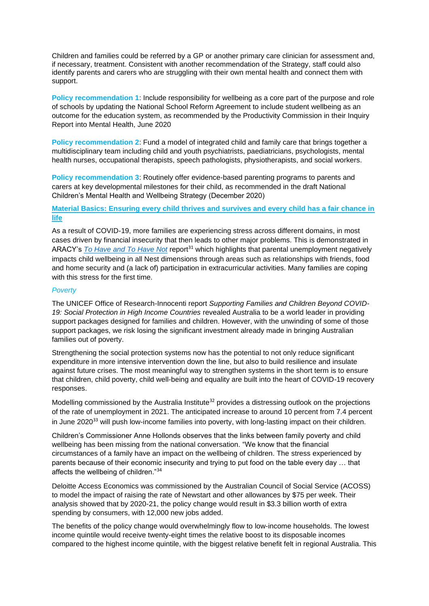Children and families could be referred by a GP or another primary care clinician for assessment and, if necessary, treatment. Consistent with another recommendation of the Strategy, staff could also identify parents and carers who are struggling with their own mental health and connect them with support.

**Policy recommendation 1**: Include responsibility for wellbeing as a core part of the purpose and role of schools by updating the National School Reform Agreement to include student wellbeing as an outcome for the education system, as recommended by the Productivity Commission in their Inquiry Report into Mental Health, June 2020

**Policy recommendation 2**: Fund a model of integrated child and family care that brings together a multidisciplinary team including child and youth psychiatrists, paediatricians, psychologists, mental health nurses, occupational therapists, speech pathologists, physiotherapists, and social workers.

**Policy recommendation 3**: Routinely offer evidence-based parenting programs to parents and carers at key developmental milestones for their child, as recommended in the draft National Children's Mental Health and Wellbeing Strategy (December 2020)

# **Material Basics: Ensuring every child thrives and survives and every child has a fair chance in life**

As a result of COVID-19, more families are experiencing stress across different domains, in most cases driven by financial insecurity that then leads to other major problems. This is demonstrated in ARACY's *[To Have and To Have Not](https://www.aracy.org.au/publications-resources/area?command=record&id=282)* report<sup>31</sup> which highlights that parental unemployment negatively impacts child wellbeing in all Nest dimensions through areas such as relationships with friends, food and home security and (a lack of) participation in extracurricular activities. Many families are coping with this stress for the first time.

## *Poverty*

The UNICEF Office of Research-Innocenti report *Supporting Families and Children Beyond COVID-*19: Social Protection in High Income Countries revealed Australia to be a world leader in providing support packages designed for families and children. However, with the unwinding of some of those support packages, we risk losing the significant investment already made in bringing Australian families out of poverty.

Strengthening the social protection systems now has the potential to not only reduce significant expenditure in more intensive intervention down the line, but also to build resilience and insulate against future crises. The most meaningful way to strengthen systems in the short term is to ensure that children, child poverty, child well-being and equality are built into the heart of COVID-19 recovery responses.

Modelling commissioned by the Australia Institute<sup>32</sup> provides a distressing outlook on the projections of the rate of unemployment in 2021. The anticipated increase to around 10 percent from 7.4 percent in June 2020<sup>33</sup> will push low-income families into poverty, with long-lasting impact on their children.

Children's Commissioner Anne Hollonds observes that the links between family poverty and child wellbeing has been missing from the national conversation. "We know that the financial circumstances of a family have an impact on the wellbeing of children. The stress experienced by parents because of their economic insecurity and trying to put food on the table every day … that affects the wellbeing of children."<sup>34</sup>

Deloitte Access Economics was commissioned by the Australian Council of Social Service (ACOSS) to model the impact of raising the rate of Newstart and other allowances by \$75 per week. Their analysis showed that by 2020-21, the policy change would result in \$3.3 billion worth of extra spending by consumers, with 12,000 new jobs added.

The benefits of the policy change would overwhelmingly flow to low-income households. The lowest income quintile would receive twenty-eight times the relative boost to its disposable incomes compared to the highest income quintile, with the biggest relative benefit felt in regional Australia. This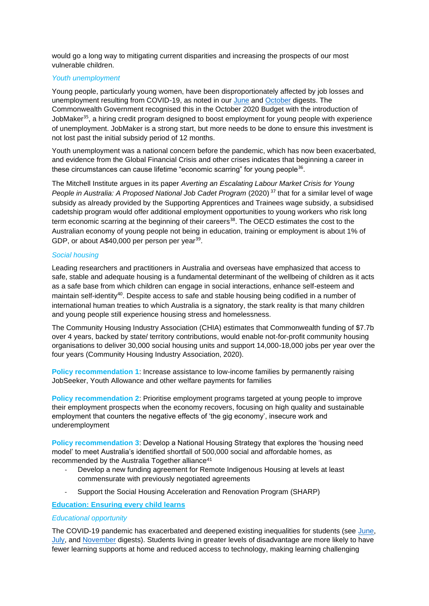would go a long way to mitigating current disparities and increasing the prospects of our most vulnerable children.

### *Youth unemployment*

Young people, particularly young women, have been disproportionately affected by job losses and unemployment resulting from COVID-19, as noted in our [June](https://www.aracy.org.au/publications-resources/command/download_file/id/423/filename/Australian_Children) and [October](https://www.aracy.org.au/publications-resources/command/download_file/id/426/filename/Australian_Children) digests. The Commonwealth Government recognised this in the October 2020 Budget with the introduction of JobMaker<sup>35</sup>, a hiring credit program designed to boost employment for young people with experience of unemployment. JobMaker is a strong start, but more needs to be done to ensure this investment is not lost past the initial subsidy period of 12 months.

Youth unemployment was a national concern before the pandemic, which has now been exacerbated, and evidence from the Global Financial Crisis and other crises indicates that beginning a career in these circumstances can cause lifetime "economic scarring" for young people $36$ .

The Mitchell Institute argues in its paper *Averting an Escalating Labour Market Crisis for Young People in Australia: A Proposed National Job Cadet Program* (2020)<sup>37</sup> that for a similar level of wage subsidy as already provided by the [Supporting Apprentices and Trainees wage subsidy,](https://docs-jobs.govcms.gov.au/node/47555) a subsidised cadetship program would offer additional employment opportunities to young workers who risk long term economic scarring at the beginning of their careers<sup>38</sup>. The [OECD estimates](https://www.oecd-ilibrary.org/social-issues-migration-health/society-at-a-glance-2016/neet-costs-are-significant-in-many-oecd-countries_soc_glance-2016-graph8-en) the cost to the Australian economy of young people not being in education, training or employment is about 1% of GDP, or about A\$40,000 per person per year<sup>39</sup>.

## *Social housing*

Leading researchers and practitioners in Australia and overseas have emphasized that access to safe, stable and adequate housing is a fundamental determinant of the wellbeing of children as it acts as a safe base from which children can engage in social interactions, enhance self-esteem and maintain self-identity<sup>40</sup>. Despite access to safe and stable housing being codified in a number of international human treaties to which Australia is a signatory, the stark reality is that many children and young people still experience housing stress and homelessness.

The Community Housing Industry Association (CHIA) estimates that Commonwealth funding of \$7.7b over 4 years, backed by state/ territory contributions, would enable not-for-profit community housing organisations to deliver 30,000 social housing units and support 14,000-18,000 jobs per year over the four years (Community Housing Industry Association, 2020).

**Policy recommendation 1**: Increase assistance to low-income families by permanently raising JobSeeker, Youth Allowance and other welfare payments for families

**Policy recommendation 2**: Prioritise employment programs targeted at young people to improve their employment prospects when the economy recovers, focusing on high quality and sustainable employment that counters the negative effects of 'the gig economy', insecure work and underemployment

**Policy recommendation 3**: Develop a National Housing Strategy that explores the 'housing need model' to meet Australia's identified shortfall of 500,000 social and affordable homes, as recommended by the Australia Together alliance<sup>41</sup>

- Develop a new funding agreement for Remote Indigenous Housing at levels at least commensurate with previously negotiated agreements
- Support the Social Housing Acceleration and Renovation Program (SHARP)

# **Education: Ensuring every child learns**

### *Educational opportunity*

The COVID-19 pandemic has exacerbated and deepened existing inequalities for students (see [June,](https://www.aracy.org.au/publications-resources/command/download_file/id/423/filename/Australian_Children) [July,](https://www.aracy.org.au/publications-resources/command/download_file/id/422/filename/Australian_Children) and [November](https://www.aracy.org.au/publications-resources/command/download_file/id/429/filename/Australian_Children) digests). Students living in greater levels of disadvantage are more likely to have fewer learning supports at home and reduced access to technology, making learning challenging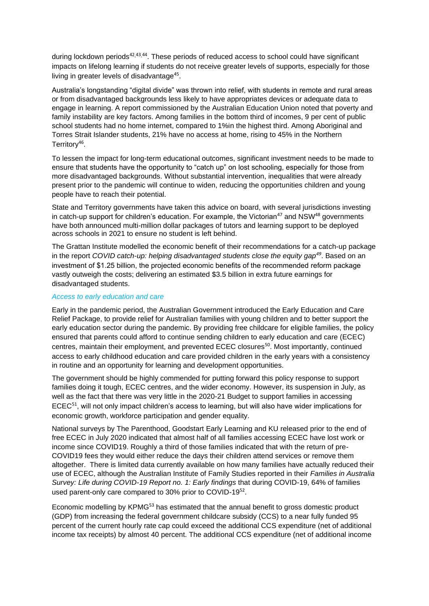during lockdown periods<sup>42,43,44</sup>. These periods of reduced access to school could have significant impacts on lifelong learning if students do not receive greater levels of supports, especially for those living in greater levels of disadvantage<sup>45</sup>.

Australia's longstanding "digital divide" was thrown into relief, with students in remote and rural areas or from disadvantaged backgrounds less likely to have appropriates devices or adequate data to engage in learning. A report commissioned by the Australian Education Union noted that poverty and family instability are key factors. Among families in the bottom third of incomes, 9 per cent of public school students had no home internet, compared to 1%in the highest third. Among Aboriginal and Torres Strait Islander students, 21% have no access at home, rising to 45% in the Northern Territory<sup>46</sup>.

To lessen the impact for long-term educational outcomes, significant investment needs to be made to ensure that students have the opportunity to "catch up" on lost schooling, especially for those from more disadvantaged backgrounds. Without substantial intervention, inequalities that were already present prior to the pandemic will continue to widen, reducing the opportunities children and young people have to reach their potential.

State and Territory governments have taken this advice on board, with several jurisdictions investing in catch-up support for children's education. For example, the Victorian<sup>47</sup> and NSW<sup>48</sup> governments have both announced multi-million dollar packages of tutors and learning support to be deployed across schools in 2021 to ensure no student is left behind.

The Grattan Institute modelled the economic benefit of their recommendations for a catch-up package in the report *COVID catch-up: helping disadvantaged students close the equity gap<sup>49</sup>*. Based on an investment of \$1.25 billion, the projected economic benefits of the recommended reform package vastly outweigh the costs; delivering an estimated \$3.5 billion in extra future earnings for disadvantaged students.

### *Access to early education and care*

Early in the pandemic period, the Australian Government introduced the Early Education and Care Relief Package, to provide relief for Australian families with young children and to better support the early education sector during the pandemic. By providing free childcare for eligible families, the policy ensured that parents could afford to continue sending children to early education and care (ECEC) centres, maintain their employment, and prevented ECEC closures<sup>50</sup>. Most importantly, continued access to early childhood education and care provided children in the early years with a consistency in routine and an opportunity for learning and development opportunities.

The government should be highly commended for putting forward this policy response to support families doing it tough, ECEC centres, and the wider economy. However, its suspension in July, as well as the fact that there was very little in the 2020-21 Budget to support families in accessing  $ECEC<sup>51</sup>$ , will not only impact children's access to learning, but will also have wider implications for economic growth, workforce participation and gender equality.

National surveys by The Parenthood, Goodstart Early Learning and KU released prior to the end of free ECEC in July 2020 indicated that almost half of all families accessing ECEC have lost work or income since COVID19. Roughly a third of those families indicated that with the return of pre-COVID19 fees they would either reduce the days their children attend services or remove them altogether. There is limited data currently available on how many families have actually reduced their use of ECEC, although the Australian Institute of Family Studies reported in their *Families in Australia Survey: Life during COVID-19 Report no. 1: Early findings* that during COVID-19, 64% of families used parent-only care compared to 30% prior to COVID-1952.

Economic modelling by KPMG<sup>53</sup> has estimated that the annual benefit to gross domestic product (GDP) from increasing the federal government childcare subsidy (CCS) to a near fully funded 95 percent of the current hourly rate cap could exceed the additional CCS expenditure (net of additional income tax receipts) by almost 40 percent. The additional CCS expenditure (net of additional income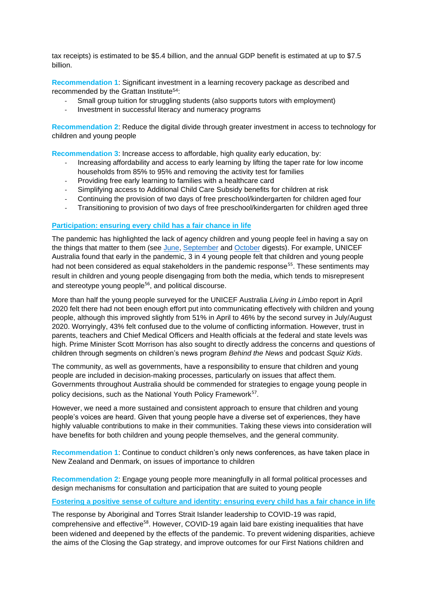tax receipts) is estimated to be \$5.4 billion, and the annual GDP benefit is estimated at up to \$7.5 billion.

**Recommendation 1**: Significant investment in a learning recovery package as described and recommended by the Grattan Institute<sup>54</sup>:

- Small group tuition for struggling students (also supports tutors with employment)
- Investment in successful literacy and numeracy programs

**Recommendation 2:** Reduce the digital divide through greater investment in access to technology for children and young people

**Recommendation 3**: Increase access to affordable, high quality early education, by:

- Increasing affordability and access to early learning by lifting the taper rate for low income households from 85% to 95% and removing the activity test for families
- Providing free early learning to families with a healthcare card
- Simplifying access to Additional Child Care Subsidy benefits for children at risk
- Continuing the provision of two days of free preschool/kindergarten for children aged four
- Transitioning to provision of two days of free preschool/kindergarten for children aged three

### **Participation: ensuring every child has a fair chance in life**

The pandemic has highlighted the lack of agency children and young people feel in having a say on the things that matter to them (see [June,](https://www.aracy.org.au/publications-resources/command/download_file/id/423/filename/Australian_Children) [September](https://www.aracy.org.au/publications-resources/command/download_file/id/425/filename/ARACY_UNICEF_September_Digest_FINAL_as_at_30_Sept_2020_.pdf) and [October](https://www.aracy.org.au/publications-resources/command/download_file/id/426/filename/Australian_Children) digests). For example, UNICEF Australia found that early in the pandemic, 3 in 4 young people felt that children and young people had not been considered as equal stakeholders in the pandemic response<sup>55</sup>. These sentiments may result in children and young people disengaging from both the media, which tends to misrepresent and stereotype young people<sup>56</sup>, and political discourse.

More than half the young people surveyed for the UNICEF Australia *Living in Limbo* report in April 2020 felt there had not been enough effort put into communicating effectively with children and young people, although this improved slightly from 51% in April to 46% by the second survey in July/August 2020. Worryingly, 43% felt confused due to the volume of conflicting information. However, trust in parents, teachers and Chief Medical Officers and Health officials at the federal and state levels was high. Prime Minister Scott Morrison has also sought to directly address the concerns and questions of children through segments on children's news program *Behind the News* and podcast *Squiz Kids*.

The community, as well as governments, have a responsibility to ensure that children and young people are included in decision-making processes, particularly on issues that affect them. Governments throughout Australia should be commended for strategies to engage young people in policy decisions, such as the National Youth Policy Framework<sup>57</sup>.

However, we need a more sustained and consistent approach to ensure that children and young people's voices are heard. Given that young people have a diverse set of experiences, they have highly valuable contributions to make in their communities. Taking these views into consideration will have benefits for both children and young people themselves, and the general community.

**Recommendation 1**: Continue to conduct children's only news conferences, as have taken place in New Zealand and Denmark, on issues of importance to children

**Recommendation 2**: Engage young people more meaningfully in all formal political processes and design mechanisms for consultation and participation that are suited to young people

# **Fostering a positive sense of culture and identity: ensuring every child has a fair chance in life**

The response by Aboriginal and Torres Strait Islander leadership to COVID-19 was rapid, comprehensive and effective<sup>58</sup>. However, COVID-19 again laid bare existing inequalities that have been widened and deepened by the effects of the pandemic. To prevent widening disparities, achieve the aims of the Closing the Gap strategy, and improve outcomes for our First Nations children and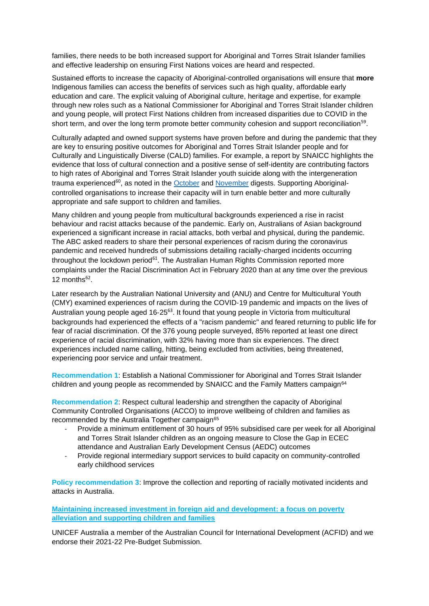families, there needs to be both increased support for Aboriginal and Torres Strait Islander families and effective leadership on ensuring First Nations voices are heard and respected.

Sustained efforts to increase the capacity of Aboriginal-controlled organisations will ensure that **more**  Indigenous families can access the benefits of services such as high quality, affordable early education and care. The explicit valuing of Aboriginal culture, heritage and expertise, for example through new roles such as a National Commissioner for Aboriginal and Torres Strait Islander children and young people, will protect First Nations children from increased disparities due to COVID in the short term, and over the long term promote better community cohesion and support reconciliation<sup>59</sup>.

Culturally adapted and owned support systems have proven before and during the pandemic that they are key to ensuring positive outcomes for Aboriginal and Torres Strait Islander people and for Culturally and Linguistically Diverse (CALD) families. For example, a report by SNAICC highlights the evidence that loss of cultural connection and a positive sense of self-identity are contributing factors to high rates of Aboriginal and Torres Strait Islander youth suicide along with the intergeneration trauma experienced<sup>60</sup>, as noted in the **October** and **November** digests. Supporting Aboriginalcontrolled organisations to increase their capacity will in turn enable better and more culturally appropriate and safe support to children and families.

Many children and young people from multicultural backgrounds experienced a rise in racist behaviour and racist attacks because of the pandemic. Early on, Australians of Asian background experienced a significant increase in racial attacks, both verbal and physical, during the pandemic. The ABC asked readers to share their personal experiences of racism during the coronavirus pandemic and received hundreds of submissions detailing racially-charged incidents occurring throughout the lockdown period $61$ . The Australian Human Rights Commission reported more complaints under the Racial Discrimination Act in February 2020 than at any time over the previous 12 months $62$ .

Later research by the Australian National University and (ANU) and Centre for Multicultural Youth (CMY) examined experiences of racism during the COVID‐19 pandemic and impacts on the lives of Australian young people aged 16-25<sup>63</sup>. It found that young people in Victoria from multicultural backgrounds had experienced the effects of a "racism pandemic" and feared returning to public life for fear of racial discrimination. Of the 376 young people surveyed, 85% reported at least one direct experience of racial discrimination, with 32% having more than six experiences. The direct experiences included name calling, hitting, being excluded from activities, being threatened, experiencing poor service and unfair treatment.

**Recommendation 1**: Establish a National Commissioner for Aboriginal and Torres Strait Islander children and young people as recommended by SNAICC and the Family Matters campaign $64$ 

**Recommendation 2**: Respect cultural leadership and strengthen the capacity of Aboriginal Community Controlled Organisations (ACCO) to improve wellbeing of children and families as recommended by the Australia Together campaign<sup>65</sup>

- Provide a minimum entitlement of 30 hours of 95% subsidised care per week for all Aboriginal and Torres Strait Islander children as an ongoing measure to Close the Gap in ECEC attendance and Australian Early Development Census (AEDC) outcomes
- Provide regional intermediary support services to build capacity on community-controlled early childhood services

**Policy recommendation 3**: Improve the collection and reporting of racially motivated incidents and attacks in Australia.

**Maintaining increased investment in foreign aid and development: a focus on poverty alleviation and supporting children and families** 

UNICEF Australia a member of the Australian Council for International Development (ACFID) and we endorse their 2021-22 Pre-Budget Submission.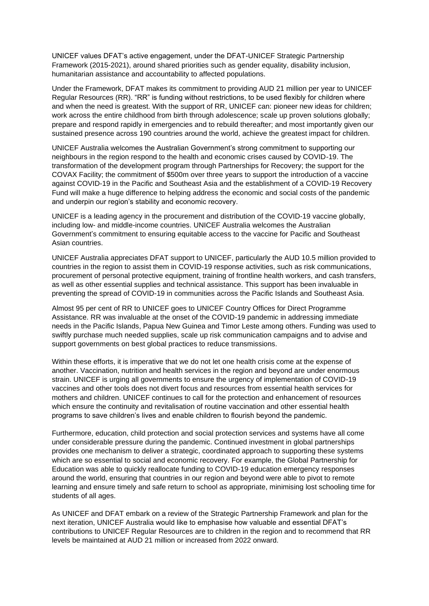UNICEF values DFAT's active engagement, under the DFAT-UNICEF Strategic Partnership Framework (2015-2021), around shared priorities such as gender equality, disability inclusion, humanitarian assistance and accountability to affected populations.

Under the Framework, DFAT makes its commitment to providing AUD 21 million per year to UNICEF Regular Resources (RR). "RR" is funding without restrictions, to be used flexibly for children where and when the need is greatest. With the support of RR, UNICEF can: pioneer new ideas for children; work across the entire childhood from birth through adolescence; scale up proven solutions globally; prepare and respond rapidly in emergencies and to rebuild thereafter; and most importantly given our sustained presence across 190 countries around the world, achieve the greatest impact for children.

UNICEF Australia welcomes the Australian Government's strong commitment to supporting our neighbours in the region respond to the health and economic crises caused by COVID-19. The transformation of the development program through Partnerships for Recovery; the support for the COVAX Facility; the commitment of \$500m over three years to support the introduction of a vaccine against COVID-19 in the Pacific and Southeast Asia and the establishment of a COVID-19 Recovery Fund will make a huge difference to helping address the economic and social costs of the pandemic and underpin our region's stability and economic recovery.

UNICEF is a leading agency in the procurement and distribution of the COVID-19 vaccine globally, including low- and middle-income countries. UNICEF Australia welcomes the Australian Government's commitment to ensuring equitable access to the vaccine for Pacific and Southeast Asian countries.

UNICEF Australia appreciates DFAT support to UNICEF, particularly the AUD 10.5 million provided to countries in the region to assist them in COVID-19 response activities, such as risk communications, procurement of personal protective equipment, training of frontline health workers, and cash transfers, as well as other essential supplies and technical assistance. This support has been invaluable in preventing the spread of COVID-19 in communities across the Pacific Islands and Southeast Asia.

Almost 95 per cent of RR to UNICEF goes to UNICEF Country Offices for Direct Programme Assistance. RR was invaluable at the onset of the COVID-19 pandemic in addressing immediate needs in the Pacific Islands, Papua New Guinea and Timor Leste among others. Funding was used to swiftly purchase much needed supplies, scale up risk communication campaigns and to advise and support governments on best global practices to reduce transmissions.

Within these efforts, it is imperative that we do not let one health crisis come at the expense of another. Vaccination, nutrition and health services in the region and beyond are under enormous strain. UNICEF is urging all governments to ensure the urgency of implementation of COVID-19 vaccines and other tools does not divert focus and resources from essential health services for mothers and children. UNICEF continues to call for the protection and enhancement of resources which ensure the continuity and revitalisation of routine vaccination and other essential health programs to save children's lives and enable children to flourish beyond the pandemic.

Furthermore, education, child protection and social protection services and systems have all come under considerable pressure during the pandemic. Continued investment in global partnerships provides one mechanism to deliver a strategic, coordinated approach to supporting these systems which are so essential to social and economic recovery. For example, the Global Partnership for Education was able to quickly reallocate funding to COVID-19 education emergency responses around the world, ensuring that countries in our region and beyond were able to pivot to remote learning and ensure timely and safe return to school as appropriate, minimising lost schooling time for students of all ages.

As UNICEF and DFAT embark on a review of the Strategic Partnership Framework and plan for the next iteration, UNICEF Australia would like to emphasise how valuable and essential DFAT's contributions to UNICEF Regular Resources are to children in the region and to recommend that RR levels be maintained at AUD 21 million or increased from 2022 onward.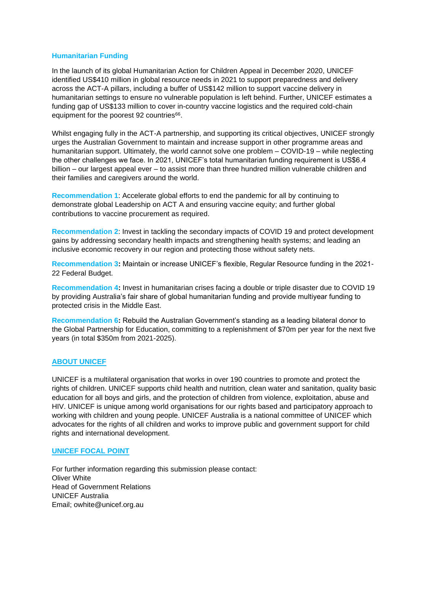## **Humanitarian Funding**

In the launch of its global Humanitarian Action for Children Appeal in December 2020, UNICEF identified US\$410 million in global resource needs in 2021 to support preparedness and delivery across the ACT-A pillars, including a buffer of US\$142 million to support vaccine delivery in humanitarian settings to ensure no vulnerable population is left behind. Further, UNICEF estimates a funding gap of US\$133 million to cover in-country vaccine logistics and the required cold-chain equipment for the poorest 92 countries<sup>66</sup>.

Whilst engaging fully in the ACT-A partnership, and supporting its critical objectives, UNICEF strongly urges the Australian Government to maintain and increase support in other programme areas and humanitarian support. Ultimately, the world cannot solve one problem – COVID-19 – while neglecting the other challenges we face. In 2021, UNICEF's total humanitarian funding requirement is US\$6.4 billion – our largest appeal ever – to assist more than three hundred million vulnerable children and their families and caregivers around the world.

**Recommendation 1**: Accelerate global efforts to end the pandemic for all by continuing to demonstrate global Leadership on ACT A and ensuring vaccine equity; and further global contributions to vaccine procurement as required.

**Recommendation 2**: Invest in tackling the secondary impacts of COVID 19 and protect development gains by addressing secondary health impacts and strengthening health systems; and leading an inclusive economic recovery in our region and protecting those without safety nets.

**Recommendation 3:** Maintain or increase UNICEF's flexible, Regular Resource funding in the 2021- 22 Federal Budget.

**Recommendation 4:** Invest in humanitarian crises facing a double or triple disaster due to COVID 19 by providing Australia's fair share of global humanitarian funding and provide multiyear funding to protected crisis in the Middle East.

**Recommendation 6:** Rebuild the Australian Government's standing as a leading bilateral donor to the Global Partnership for Education, committing to a replenishment of \$70m per year for the next five years (in total \$350m from 2021-2025).

### **ABOUT UNICEF**

UNICEF is a multilateral organisation that works in over 190 countries to promote and protect the rights of children. UNICEF supports child health and nutrition, clean water and sanitation, quality basic education for all boys and girls, and the protection of children from violence, exploitation, abuse and HIV. UNICEF is unique among world organisations for our rights based and participatory approach to working with children and young people. UNICEF Australia is a national committee of UNICEF which advocates for the rights of all children and works to improve public and government support for child rights and international development.

### **UNICEF FOCAL POINT**

For further information regarding this submission please contact: Oliver White Head of Government Relations UNICEF Australia Email; owhite@unicef.org.au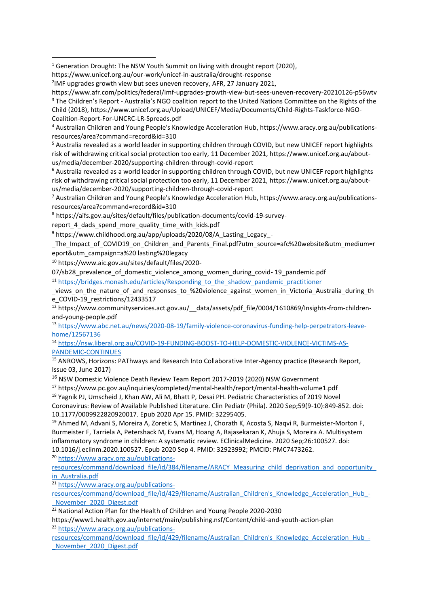<sup>5</sup> Australia revealed as a world leader in supporting children through COVID, but new UNICEF report highlights risk of withdrawing critical social protection too early, 11 December 2021, https://www.unicef.org.au/aboutus/media/december-2020/supporting-children-through-covid-report

<sup>6</sup> Australia revealed as a world leader in supporting children through COVID, but new UNICEF report highlights risk of withdrawing critical social protection too early, 11 December 2021, https://www.unicef.org.au/aboutus/media/december-2020/supporting-children-through-covid-report

<sup>7</sup> Australian Children and Young People's Knowledge Acceleration Hub, https://www.aracy.org.au/publicationsresources/area?command=record&id=310

<sup>8</sup> https://aifs.gov.au/sites/default/files/publication-documents/covid-19-survey-

report 4 dads spend more quality time with kids.pdf

<sup>9</sup> https://www.childhood.org.au/app/uploads/2020/08/A\_Lasting\_Legacy\_-

The Impact of COVID19 on Children and Parents Final.pdf?utm source=afc%20website&utm medium=r eport&utm\_campaign=a%20 lasting%20legacy

<sup>10</sup> https://www.aic.gov.au/sites/default/files/2020-

07/sb28\_prevalence\_of\_domestic\_violence\_among\_women\_during\_covid- 19\_pandemic.pdf

<sup>11</sup> [https://bridges.monash.edu/articles/Responding\\_to\\_the\\_shadow\\_pandemic\\_practitioner](https://bridges.monash.edu/articles/Responding_to_the_shadow_pandemic_practitioner)

\_views\_on\_the\_nature\_of\_and\_responses\_to\_%20violence\_against\_women\_in\_Victoria\_Australia\_during\_th e COVID-19 restrictions/12433517

<sup>12</sup> https://www.communityservices.act.gov.au/ data/assets/pdf file/0004/1610869/Insights-from-childrenand-young-people.pdf

<sup>13</sup> [https://www.abc.net.au/news/2020-08-19/family-violence-coronavirus-funding-help-perpetrators-leave](https://www.abc.net.au/news/2020-08-19/family-violence-coronavirus-funding-help-perpetrators-leave-home/12567136)[home/12567136](https://www.abc.net.au/news/2020-08-19/family-violence-coronavirus-funding-help-perpetrators-leave-home/12567136)

<sup>14</sup> [https://nsw.liberal.org.au/COVID-19-FUNDING-BOOST-TO-HELP-DOMESTIC-VIOLENCE-VICTIMS-AS-](https://nsw.liberal.org.au/COVID-19-FUNDING-BOOST-TO-HELP-DOMESTIC-VIOLENCE-VICTIMS-AS-PANDEMIC-CONTINUES)[PANDEMIC-CONTINUES](https://nsw.liberal.org.au/COVID-19-FUNDING-BOOST-TO-HELP-DOMESTIC-VIOLENCE-VICTIMS-AS-PANDEMIC-CONTINUES)

<sup>15</sup> ANROWS, Horizons: PAThways and Research Into Collaborative Inter-Agency practice (Research Report, Issue 03, June 2017)

<sup>16</sup> NSW Domestic Violence Death Review Team Report 2017-2019 (2020) NSW Government

<sup>17</sup> https://www.pc.gov.au/inquiries/completed/mental-health/report/mental-health-volume1.pdf

<sup>18</sup> Yagnik PJ, Umscheid J, Khan AW, Ali M, Bhatt P, Desai PH. Pediatric Characteristics of 2019 Novel Coronavirus: Review of Available Published Literature. Clin Pediatr (Phila). 2020 Sep;59(9-10):849-852. doi: 10.1177/0009922820920017. Epub 2020 Apr 15. PMID: 32295405.

<sup>19</sup> Ahmed M, Advani S, Moreira A, Zoretic S, Martinez J, Chorath K, Acosta S, Naqvi R, Burmeister-Morton F, Burmeister F, Tarriela A, Petershack M, Evans M, Hoang A, Rajasekaran K, Ahuja S, Moreira A. Multisystem inflammatory syndrome in children: A systematic review. EClinicalMedicine. 2020 Sep;26:100527. doi: 10.1016/j.eclinm.2020.100527. Epub 2020 Sep 4. PMID: 32923992; PMCID: PMC7473262.

<sup>20</sup> [https://www.aracy.org.au/publications-](https://www.aracy.org.au/publications-resources/command/download_file/id/384/filename/ARACY_Measuring_child_deprivation_and_opportunity_in_Australia.pdf)

resources/command/download\_file/id/384/filename/ARACY\_Measuring\_child\_deprivation\_and\_opportunity in Australia.pdf

<sup>21</sup> [https://www.aracy.org.au/publications-](https://www.aracy.org.au/publications-resources/command/download_file/id/429/filename/Australian_Children)

[resources/command/download\\_file/id/429/filename/Australian\\_Children's\\_Knowledge\\_Acceleration\\_Hub\\_-](https://www.aracy.org.au/publications-resources/command/download_file/id/429/filename/Australian_Children) [\\_November\\_2020\\_Digest.pdf](https://www.aracy.org.au/publications-resources/command/download_file/id/429/filename/Australian_Children)

 $22$  National Action Plan for the Health of Children and Young People 2020-2030

https://www1.health.gov.au/internet/main/publishing.nsf/Content/child-and-youth-action-plan <sup>23</sup> [https://www.aracy.org.au/publications-](https://www.aracy.org.au/publications-resources/command/download_file/id/429/filename/Australian_Children)

[resources/command/download\\_file/id/429/filename/Australian\\_Children's\\_Knowledge\\_Acceleration\\_Hub\\_-](https://www.aracy.org.au/publications-resources/command/download_file/id/429/filename/Australian_Children) [\\_November\\_2020\\_Digest.pdf](https://www.aracy.org.au/publications-resources/command/download_file/id/429/filename/Australian_Children)

 $1$  Generation Drought: The NSW Youth Summit on living with drought report (2020),

https://www.unicef.org.au/our-work/unicef-in-australia/drought-response

<sup>&</sup>lt;sup>2</sup>IMF upgrades growth view but sees uneven recovery, AFR, 27 January 2021,

https://www.afr.com/politics/federal/imf-upgrades-growth-view-but-sees-uneven-recovery-20210126-p56wtv <sup>3</sup> The Children's Report - Australia's NGO coalition report to the United Nations Committee on the Rights of the Child (2018), https://www.unicef.org.au/Upload/UNICEF/Media/Documents/Child-Rights-Taskforce-NGO-Coalition-Report-For-UNCRC-LR-Spreads.pdf

<sup>4</sup> Australian Children and Young People's Knowledge Acceleration Hub, https://www.aracy.org.au/publicationsresources/area?command=record&id=310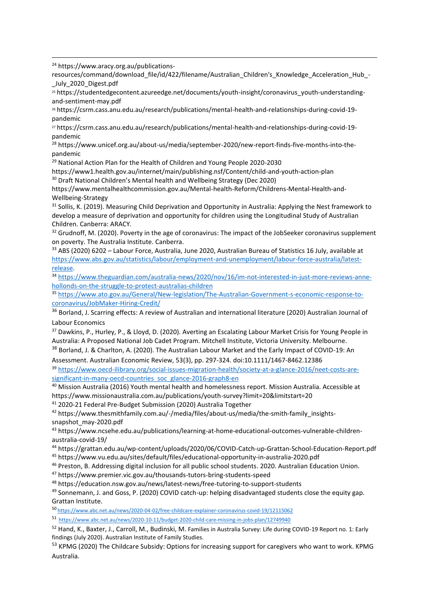<sup>24</sup> https://www.aracy.org.au/publications-

resources/command/download\_file/id/422/filename/Australian\_Children's\_Knowledge\_Acceleration\_Hub\_- July 2020 Digest.pdf

<sup>25</sup> https://studentedgecontent.azureedge.net/documents/youth-insight/coronavirus\_youth-understandingand-sentiment-may.pdf

<sup>26</sup> https://csrm.cass.anu.edu.au/research/publications/mental-health-and-relationships-during-covid-19 pandemic

<sup>27</sup> https://csrm.cass.anu.edu.au/research/publications/mental-health-and-relationships-during-covid-19 pandemic

<sup>28</sup> https://www.unicef.org.au/about-us/media/september-2020/new-report-finds-five-months-into-thepandemic

<sup>29</sup> National Action Plan for the Health of Children and Young People 2020-2030

https://www1.health.gov.au/internet/main/publishing.nsf/Content/child-and-youth-action-plan <sup>30</sup> Draft National Children's Mental health and Wellbeing Strategy (Dec 2020)

https://www.mentalhealthcommission.gov.au/Mental-health-Reform/Childrens-Mental-Health-and-Wellbeing-Strategy

<sup>31</sup> Sollis, K. (2019). Measuring Child Deprivation and Opportunity in Australia: Applying the Nest framework to develop a measure of deprivation and opportunity for children using the Longitudinal Study of Australian Children. Canberra: ARACY.

<sup>32</sup> Grudnoff, M. (2020). Poverty in the age of coronavirus: The impact of the JobSeeker coronavirus supplement on poverty. The Australia Institute. Canberra.

<sup>33</sup> ABS (2020) 6202 – Labour Force, Australia, June 2020, Australian Bureau of Statistics 16 July, available at [https://www.abs.gov.au/statistics/labour/employment-and-unemployment/labour-force-australia/latest](https://www.abs.gov.au/statistics/labour/employment-and-unemployment/labour-force-australia/latest-release)[release.](https://www.abs.gov.au/statistics/labour/employment-and-unemployment/labour-force-australia/latest-release)

<sup>34</sup> [https://www.theguardian.com/australia-news/2020/nov/16/im-not-interested-in-just-more-reviews-anne](https://www.theguardian.com/australia-news/2020/nov/16/im-not-interested-in-just-more-reviews-anne-hollonds-on-the-struggle-to-protect-australias-children)[hollonds-on-the-struggle-to-protect-australias-children](https://www.theguardian.com/australia-news/2020/nov/16/im-not-interested-in-just-more-reviews-anne-hollonds-on-the-struggle-to-protect-australias-children)

<sup>35</sup> [https://www.ato.gov.au/General/New-legislation/The-Australian-Government-s-economic-response-to](https://www.ato.gov.au/General/New-legislation/The-Australian-Government-s-economic-response-to-coronavirus/JobMaker-Hiring-Credit/)[coronavirus/JobMaker-Hiring-Credit/](https://www.ato.gov.au/General/New-legislation/The-Australian-Government-s-economic-response-to-coronavirus/JobMaker-Hiring-Credit/)

<sup>36</sup> Borland, J. Scarring effects: A review of Australian and international literature (2020) Australian Journal of Labour Economics

37 Dawkins, P., Hurley, P., & Lloyd, D. (2020). Averting an Escalating Labour Market Crisis for Young People in Australia: A Proposed National Job Cadet Program. Mitchell Institute, Victoria University. Melbourne.

<sup>38</sup> Borland, J. & Charlton, A. (2020). The Australian Labour Market and the Early Impact of COVID-19: An

Assessment. Australian Economic Review, 53(3), pp. 297-324. doi:10.1111/1467-8462.12386 <sup>39</sup> [https://www.oecd-ilibrary.org/social-issues-migration-health/society-at-a-glance-2016/neet-costs-are](https://www.oecd-ilibrary.org/social-issues-migration-health/society-at-a-glance-2016/neet-costs-are-significant-in-many-oecd-countries_soc_glance-2016-graph8-en)[significant-in-many-oecd-countries\\_soc\\_glance-2016-graph8-en](https://www.oecd-ilibrary.org/social-issues-migration-health/society-at-a-glance-2016/neet-costs-are-significant-in-many-oecd-countries_soc_glance-2016-graph8-en)

<sup>40</sup> Mission Australia (2016) Youth mental health and homelessness report. Mission Australia. Accessible at https://www.missionaustralia.com.au/publications/youth-survey?limit=20&limitstart=20

<sup>41</sup> 2020-21 Federal Pre-Budget Submission (2020) Australia Together

<sup>42</sup> https://www.thesmithfamily.com.au/-/media/files/about-us/media/the-smith-family insightssnapshot\_may-2020.pdf

<sup>43</sup> https://www.ncsehe.edu.au/publications/learning-at-home-educational-outcomes-vulnerable-childrenaustralia-covid-19/

<sup>44</sup> https://grattan.edu.au/wp-content/uploads/2020/06/COVID-Catch-up-Grattan-School-Education-Report.pdf

<sup>45</sup> https://www.vu.edu.au/sites/default/files/educational-opportunity-in-australia-2020.pdf

<sup>46</sup> Preston, B. Addressing digital inclusion for all public school students. 2020. Australian Education Union.

<sup>47</sup> https://www.premier.vic.gov.au/thousands-tutors-bring-students-speed

<sup>48</sup> https://education.nsw.gov.au/news/latest-news/free-tutoring-to-support-students

49 Sonnemann, J. and Goss, P. (2020) COVID catch-up: helping disadvantaged students close the equity gap. Grattan Institute.

<sup>50</sup> <https://www.abc.net.au/news/2020-04-02/free-childcare-explainer-coronavirus-covid-19/12115062>

<sup>51</sup> <https://www.abc.net.au/news/2020-10-11/budget-2020-child-care-missing-in-jobs-plan/12749940>

<sup>52</sup> Hand, K., Baxter, J., Carroll, M., Budinski, M. Families in Australia Survey: Life during COVID-19 Report no. 1: Early findings (July 2020). Australian Institute of Family Studies.

<sup>53</sup> KPMG (2020) The Childcare Subsidy: Options for increasing support for caregivers who want to work. KPMG Australia.